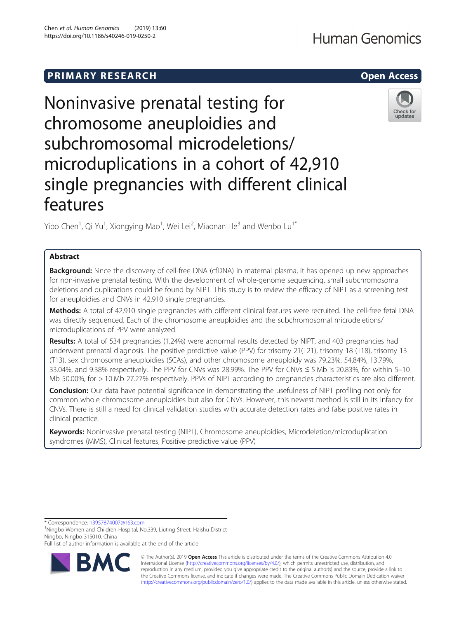Chen et al. Human Genomics (2019) 13:60 https://doi.org/10.1186/s40246-019-0250-2

# **PRIMARY RESEARCH CHARGE ACCESS**



Noninvasive prenatal testing for chromosome aneuploidies and subchromosomal microdeletions/ microduplications in a cohort of 42,910 single pregnancies with different clinical features

Yibo Chen<sup>1</sup>, Qi Yu<sup>1</sup>, Xiongying Mao<sup>1</sup>, Wei Lei<sup>2</sup>, Miaonan He<sup>3</sup> and Wenbo Lu<sup>1\*</sup>

# Abstract

**Background:** Since the discovery of cell-free DNA (cfDNA) in maternal plasma, it has opened up new approaches for non-invasive prenatal testing. With the development of whole-genome sequencing, small subchromosomal deletions and duplications could be found by NIPT. This study is to review the efficacy of NIPT as a screening test for aneuploidies and CNVs in 42,910 single pregnancies.

Methods: A total of 42,910 single pregnancies with different clinical features were recruited. The cell-free fetal DNA was directly sequenced. Each of the chromosome aneuploidies and the subchromosomal microdeletions/ microduplications of PPV were analyzed.

Results: A total of 534 pregnancies (1.24%) were abnormal results detected by NIPT, and 403 pregnancies had underwent prenatal diagnosis. The positive predictive value (PPV) for trisomy 21(T21), trisomy 18 (T18), trisomy 13 (T13), sex chromosome aneuploidies (SCAs), and other chromosome aneuploidy was 79.23%, 54.84%, 13.79%, 33.04%, and 9.38% respectively. The PPV for CNVs was 28.99%. The PPV for CNVs ≤ 5 Mb is 20.83%, for within 5–10 Mb 50.00%, for > 10 Mb 27.27% respectively. PPVs of NIPT according to pregnancies characteristics are also different.

**Conclusion:** Our data have potential significance in demonstrating the usefulness of NIPT profiling not only for common whole chromosome aneuploidies but also for CNVs. However, this newest method is still in its infancy for CNVs. There is still a need for clinical validation studies with accurate detection rates and false positive rates in clinical practice.

Keywords: Noninvasive prenatal testing (NIPT), Chromosome aneuploidies, Microdeletion/microduplication syndromes (MMS), Clinical features, Positive predictive value (PPV)

\* Correspondence: [13957874007@163.com](mailto:13957874007@163.com) <sup>1</sup>

<sup>1</sup>Ningbo Women and Children Hospital, No.339, Liuting Street, Haishu District Ningbo, Ningbo 315010, China

Full list of author information is available at the end of the article



© The Author(s). 2019 **Open Access** This article is distributed under the terms of the Creative Commons Attribution 4.0 International License [\(http://creativecommons.org/licenses/by/4.0/](http://creativecommons.org/licenses/by/4.0/)), which permits unrestricted use, distribution, and reproduction in any medium, provided you give appropriate credit to the original author(s) and the source, provide a link to the Creative Commons license, and indicate if changes were made. The Creative Commons Public Domain Dedication waiver [\(http://creativecommons.org/publicdomain/zero/1.0/](http://creativecommons.org/publicdomain/zero/1.0/)) applies to the data made available in this article, unless otherwise stated.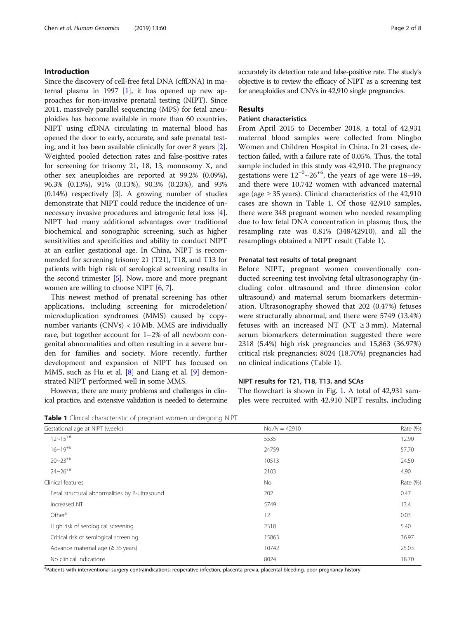# Introduction

Since the discovery of cell-free fetal DNA (cffDNA) in maternal plasma in 1997  $[1]$  $[1]$ , it has opened up new approaches for non-invasive prenatal testing (NIPT). Since 2011, massively parallel sequencing (MPS) for fetal aneuploidies has become available in more than 60 countries. NIPT using cfDNA circulating in maternal blood has opened the door to early, accurate, and safe prenatal testing, and it has been available clinically for over 8 years [\[2](#page-6-0)]. Weighted pooled detection rates and false-positive rates for screening for trisomy 21, 18, 13, monosomy X, and other sex aneuploidies are reported at 99.2% (0.09%), 96.3% (0.13%), 91% (0.13%), 90.3% (0.23%), and 93% (0.14%) respectively [[3](#page-6-0)]. A growing number of studies demonstrate that NIPT could reduce the incidence of unnecessary invasive procedures and iatrogenic fetal loss [[4](#page-6-0)]. NIPT had many additional advantages over traditional biochemical and sonographic screening, such as higher sensitivities and specificities and ability to conduct NIPT at an earlier gestational age. In China, NIPT is recommended for screening trisomy 21 (T21), T18, and T13 for patients with high risk of serological screening results in the second trimester  $[5]$  $[5]$ . Now, more and more pregnant women are willing to choose NIPT [\[6,](#page-6-0) [7](#page-6-0)].

This newest method of prenatal screening has other applications, including screening for microdeletion/ microduplication syndromes (MMS) caused by copynumber variants (CNVs) < 10 Mb. MMS are individually rare, but together account for 1–2% of all newborn congenital abnormalities and often resulting in a severe burden for families and society. More recently, further development and expansion of NIPT has focused on MMS, such as Hu et al. [\[8](#page-6-0)] and Liang et al. [[9\]](#page-6-0) demonstrated NIPT performed well in some MMS.

However, there are many problems and challenges in clinical practice, and extensive validation is needed to determine accurately its detection rate and false-positive rate. The study's objective is to review the efficacy of NIPT as a screening test for aneuploidies and CNVs in 42,910 single pregnancies.

# Results

# Patient characteristics

From April 2015 to December 2018, a total of 42,931 maternal blood samples were collected from Ningbo Women and Children Hospital in China. In 21 cases, detection failed, with a failure rate of 0.05%. Thus, the total sample included in this study was 42,910. The pregnancy gestations were  $12^{+0}$ ~ $26^{+6}$ , the years of age were 18–49, and there were 10,742 women with advanced maternal age (age  $\geq$  35 years). Clinical characteristics of the 42,910 cases are shown in Table 1. Of those 42,910 samples, there were 348 pregnant women who needed resampling due to low fetal DNA concentration in plasma; thus, the resampling rate was 0.81% (348/42910), and all the resamplings obtained a NIPT result (Table 1).

## Prenatal test results of total pregnant

Before NIPT, pregnant women conventionally conducted screening test involving fetal ultrasonography (including color ultrasound and three dimension color ultrasound) and maternal serum biomarkers determination. Ultrasonography showed that 202 (0.47%) fetuses were structurally abnormal, and there were 5749 (13.4%) fetuses with an increased NT (NT  $\geq$  3 mm). Maternal serum biomarkers determination suggested there were 2318 (5.4%) high risk pregnancies and 15,863 (36.97%) critical risk pregnancies; 8024 (18.70%) pregnancies had no clinical indications (Table 1).

#### NIPT results for T21, T18, T13, and SCAs

The flowchart is shown in Fig. [1.](#page-2-0) A total of 42,931 samples were recruited with 42,910 NIPT results, including

Table 1 Clinical characteristic of pregnant women undergoing NIPT

| Gestational age at NIPT (weeks)                | $No./N = 42910$ | Rate (%) |  |
|------------------------------------------------|-----------------|----------|--|
| $12 \times 15^{+6}$                            | 5535            | 12.90    |  |
| $16 - 19^{+6}$                                 | 24759           | 57.70    |  |
| $20 - 23 + 6$                                  | 10513           | 24.50    |  |
| $24 - 26 + 6$                                  | 2103            | 4.90     |  |
| Clinical features                              | No.             | Rate (%) |  |
| Fetal structural abnormalities by B-ultrasound | 202             | 0.47     |  |
| Increased NT                                   | 5749            | 13.4     |  |
| Other <sup>a</sup>                             | 12              | 0.03     |  |
| High risk of serological screening             | 2318            | 5.40     |  |
| Critical risk of serological screening         | 15863           | 36.97    |  |
| Advance maternal age $(≥ 35$ years)            | 10742           | 25.03    |  |
| No clinical indications                        | 8024            | 18.70    |  |

a<br>Patients with interventional surgery contraindications: reoperative infection, placenta previa, placental bleeding, poor pregnancy history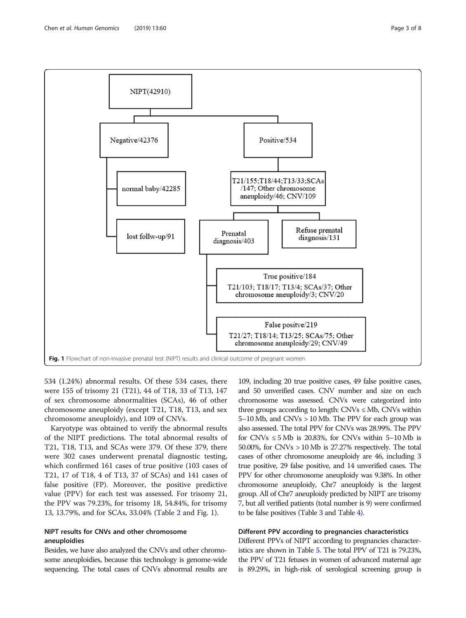<span id="page-2-0"></span>

534 (1.24%) abnormal results. Of these 534 cases, there were 155 of trisomy 21 (T21), 44 of T18, 33 of T13, 147 of sex chromosome abnormalities (SCAs), 46 of other chromosome aneuploidy (except T21, T18, T13, and sex chromosome aneuploidy), and 109 of CNVs.

Karyotype was obtained to verify the abnormal results of the NIPT predictions. The total abnormal results of T21, T18, T13, and SCAs were 379. Of these 379, there were 302 cases underwent prenatal diagnostic testing, which confirmed 161 cases of true positive (103 cases of T21, 17 of T18, 4 of T13, 37 of SCAs) and 141 cases of false positive (FP). Moreover, the positive predictive value (PPV) for each test was assessed. For trisomy 21, the PPV was 79.23%, for trisomy 18, 54.84%, for trisomy 13, 13.79%, and for SCAs, 33.04% (Table [2](#page-3-0) and Fig. 1).

# NIPT results for CNVs and other chromosome aneuploidies

Besides, we have also analyzed the CNVs and other chromosome aneuploidies, because this technology is genome-wide sequencing. The total cases of CNVs abnormal results are 109, including 20 true positive cases, 49 false positive cases, and 50 unverified cases. CNV number and size on each chromosome was assessed. CNVs were categorized into three groups according to length:  $CNVs \leq Mb$ ,  $CNVs$  within 5–10 Mb, and CNVs > 10 Mb. The PPV for each group was also assessed. The total PPV for CNVs was 28.99%. The PPV for CNVs  $\leq$  5 Mb is 20.83%, for CNVs within 5–10 Mb is 50.00%, for CNVs > 10 Mb is 27.27% respectively. The total cases of other chromosome aneuploidy are 46, including 3 true positive, 29 false positive, and 14 unverified cases. The PPV for other chromosome aneuploidy was 9.38%. In other chromosome aneuploidy, Chr7 aneuploidy is the largest group. All of Chr7 aneuploidy predicted by NIPT are trisomy 7, but all verified patients (total number is 9) were confirmed to be false positives (Table [3](#page-3-0) and Table [4\)](#page-4-0).

# Different PPV according to pregnancies characteristics

Different PPVs of NIPT according to pregnancies characteristics are shown in Table [5.](#page-4-0) The total PPV of T21 is 79.23%, the PPV of T21 fetuses in women of advanced maternal age is 89.29%, in high-risk of serological screening group is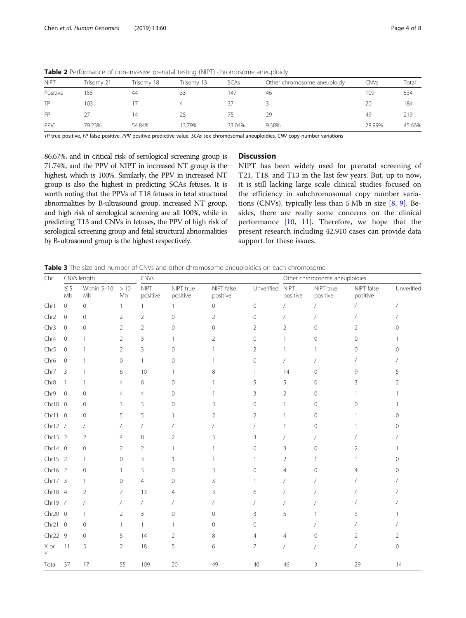| <b>NIPT</b> | Trisomv 21 | Trisomy 18 | Trisomy 13 | SCAs   | Other chromosome aneuploidy | CNVs   | Total  |
|-------------|------------|------------|------------|--------|-----------------------------|--------|--------|
| Positive    | 155        | 44         | 33         | 147    | 46                          | 109    | 534    |
| TP          | 103        |            |            | 37     |                             | 20     | 184    |
| FP          |            | 14         |            |        | 29                          | 49     | 219    |
| <b>PPV</b>  | 79.23%     | 54.84%     | 13.79%     | 33.04% | 9.38%                       | 28.99% | 45.66% |

<span id="page-3-0"></span>Table 2 Performance of non-invasive prenatal testing (NIPT) chromosome aneuploidy

TP true positive, FP false positive, PPV positive predictive value, SCAs sex chromosomal aneuploidies, CNV copy-number variations

86.67%, and in critical risk of serological screening group is 71.74%, and the PPV of NIPT in increased NT group is the highest, which is 100%. Similarly, the PPV in increased NT group is also the highest in predicting SCAs fetuses. It is worth noting that the PPVs of T18 fetuses in fetal structural abnormalities by B-ultrasound group, increased NT group, and high risk of serological screening are all 100%, while in predicting T13 and CNVs in fetuses, the PPV of high risk of serological screening group and fetal structural abnormalities by B-ultrasound group is the highest respectively.

# **Discussion**

NIPT has been widely used for prenatal screening of T21, T18, and T13 in the last few years. But, up to now, it is still lacking large scale clinical studies focused on the efficiency in subchromosomal copy number variations (CNVs), typically less than 5 Mb in size [\[8](#page-6-0), [9\]](#page-6-0). Besides, there are really some concerns on the clinical performance [[10](#page-6-0), [11](#page-6-0)]. Therefore, we hope that the present research including 42,910 cases can provide data support for these issues.

Table 3 The size and number of CNVs and other chromosome aneuploidies on each chromosome

| Chr.             | CNVs length    |                   |                | CNVs                    |                       |                        |                 | Other chromosome aneuploidies |                       |                        |            |
|------------------|----------------|-------------------|----------------|-------------------------|-----------------------|------------------------|-----------------|-------------------------------|-----------------------|------------------------|------------|
|                  | $\leq 5$<br>Mb | Within 5-10<br>Mb | >10<br>Mb      | <b>NIPT</b><br>positive | NIPT true<br>positive | NIPT false<br>positive | Unverified NIPT | positive                      | NIPT true<br>positive | NIPT false<br>positive | Unverified |
| Chr1             | $\circ$        | $\circ$           | $\mathbf{1}$   | $\mathbf{1}$            | $\mathbf{1}$          | $\mathsf{O}\xspace$    | $\mathbf 0$     |                               |                       |                        |            |
| Chr <sub>2</sub> | $\mathbf 0$    | $\mathbf 0$       | $\overline{2}$ | $\overline{2}$          | $\mathbf 0$           | $\overline{2}$         | $\mathbf 0$     | 7                             |                       |                        |            |
| Chr3             | $\mathbf{0}$   | $\mathbf 0$       | $\overline{2}$ | $\overline{2}$          | $\mathbf 0$           | $\mathbf 0$            | $\overline{2}$  | $\overline{2}$                | $\mathbf 0$           | 2                      | 0          |
| Chr4             | $\mathbf{0}$   | 1                 | 2              | 3                       | $\mathbf{1}$          | 2                      | 0               | 1                             | $\mathbf{0}$          | $\circ$                |            |
| Chr5             | $\mathbf{0}$   | 1                 | $\overline{2}$ | 3                       | $\mathbf 0$           | 1                      | $\overline{2}$  | 1                             | 1                     | $\mathbf{0}$           | $\Omega$   |
| Chr6             | $\mathbf 0$    | 1                 | $\circ$        | $\mathbf{1}$            | $\mathbf 0$           | 1                      | $\mathbf 0$     |                               |                       |                        |            |
| Chr7             | 3              | 1                 | 6              | 10                      | $\mathbf{1}$          | 8                      | $\mathbf{1}$    | 14                            | $\mathbf 0$           | 9                      | 5          |
| Chr8             | $\mathbf{1}$   | 1                 | $\overline{4}$ | 6                       | $\mathbf 0$           |                        | 5               | 5                             | $\mathbf{0}$          | 3                      | 2          |
| Chr9             | $\overline{0}$ | $\mathbf 0$       | 4              | 4                       | $\mathbf 0$           | 1                      | 3               | $\overline{2}$                | $\mathbf 0$           | $\mathbf{1}$           |            |
| Chr10 0          |                | $\mathbf 0$       | 3              | 3                       | $\mathsf{O}\xspace$   | 3                      | 0               | 1                             | $\mathbf 0$           | 0                      |            |
| Chr11 0          |                | $\mathbf 0$       | 5              | 5                       | $\mathbf{1}$          | 2                      | $\overline{2}$  | 1                             | $\mathbf{0}$          | $\mathbf{1}$           | $\Omega$   |
| Chr12 $/$        |                | $\sqrt{2}$        |                | $\prime$                | $\prime$              |                        | 7               | 1                             | $\mathbf 0$           | $\mathbf{1}$           | $\Omega$   |
| Chr13 2          |                | 2                 | 4              | 8                       | $\overline{2}$        | 3                      | 3               |                               |                       |                        |            |
| Chr14 0          |                | $\mathbf 0$       | $\overline{2}$ | $\overline{2}$          | 1                     |                        | 0               | 3                             | 0                     | 2                      |            |
| Chr15 2          |                | $\mathbf{1}$      | $\circ$        | 3                       | $\mathbf{1}$          | $\mathbf{1}$           | $\mathbf{1}$    | 2                             | $\mathbf{1}$          | $\overline{1}$         | 0          |
| Chr16 2          |                | $\mathbf 0$       | 1              | 3                       | $\circ$               | 3                      | 0               | 4                             | $\mathbf{0}$          | 4                      | 0          |
| Chr17 3          |                | $\mathbf{1}$      | $\circ$        | $\overline{4}$          | $\mathbf 0$           | 3                      |                 |                               |                       |                        |            |
| Chr18 4          |                | $\overline{2}$    | $\overline{7}$ | 13                      | $\overline{4}$        | 3                      | 6               |                               |                       |                        |            |
| Chr19 /          |                | $\sqrt{2}$        | $\sqrt{2}$     | $\sqrt{2}$              |                       |                        |                 |                               |                       |                        |            |
| Chr20 0          |                | $\mathbf{1}$      | $\overline{2}$ | 3                       | $\mathbf 0$           | 0                      | 3               | 5                             |                       | 3                      |            |
| Chr21 0          |                | 0                 | 1              | 1                       | 1                     | 0                      | 0               |                               |                       |                        |            |
| Chr22 9          |                | $\mathbf 0$       | 5              | 14                      | 2                     | 8                      | 4               | 4                             | 0                     | 2                      | 2          |
| X or<br>Υ        | 11             | 5                 | $\overline{2}$ | 18                      | 5                     | 6                      | 7               |                               |                       |                        | 0          |
| Total            | 37             | 17                | 55             | 109                     | 20                    | 49                     | 40              | 46                            | 3                     | 29                     | 14         |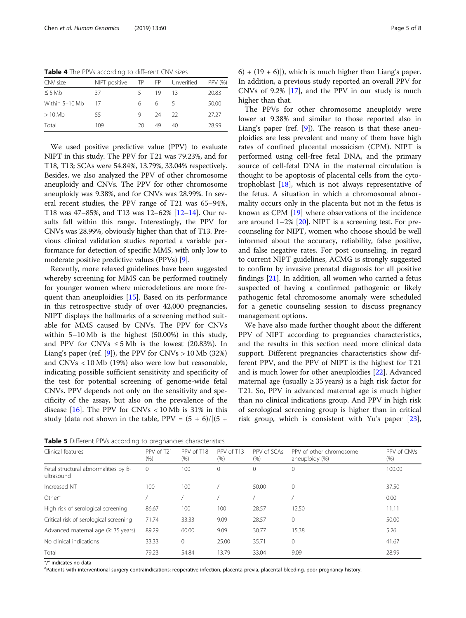<span id="page-4-0"></span>Table 4 The PPVs according to different CNV sizes

| NIPT positive |    |    |    | <b>PPV (%)</b>                                   |
|---------------|----|----|----|--------------------------------------------------|
| 37            | 5. |    |    | 20.83                                            |
| -17           | 6  | 6  |    | 50.00                                            |
| 55            | 9  |    |    | 27.27                                            |
| 109           | 20 | 49 | 40 | 28.99                                            |
|               |    |    |    | TP FP Unverified<br>19 13<br>$\sqrt{5}$<br>24 22 |

We used positive predictive value (PPV) to evaluate NIPT in this study. The PPV for T21 was 79.23%, and for T18, T13; SCAs were 54.84%, 13.79%, 33.04% respectively. Besides, we also analyzed the PPV of other chromosome aneuploidy and CNVs. The PPV for other chromosome aneuploidy was 9.38%, and for CNVs was 28.99%. In several recent studies, the PPV range of T21 was 65–94%, T18 was 47–85%, and T13 was 12–62% [[12](#page-6-0)–[14\]](#page-6-0). Our results fall within this range. Interestingly, the PPV for CNVs was 28.99%, obviously higher than that of T13. Previous clinical validation studies reported a variable performance for detection of specific MMS, with only low to moderate positive predictive values (PPVs) [\[9](#page-6-0)].

Recently, more relaxed guidelines have been suggested whereby screening for MMS can be performed routinely for younger women where microdeletions are more frequent than aneuploidies [\[15](#page-6-0)]. Based on its performance in this retrospective study of over 42,000 pregnancies, NIPT displays the hallmarks of a screening method suitable for MMS caused by CNVs. The PPV for CNVs within 5–10 Mb is the highest (50.00%) in this study, and PPV for CNVs  $\leq$  5 Mb is the lowest (20.83%). In Liang's paper (ref. [\[9](#page-6-0)]), the PPV for CNVs  $> 10$  Mb (32%) and CNVs < 10 Mb (19%) also were low but reasonable, indicating possible sufficient sensitivity and specificity of the test for potential screening of genome-wide fetal CNVs. PPV depends not only on the sensitivity and specificity of the assay, but also on the prevalence of the disease  $[16]$ . The PPV for CNVs < 10 Mb is 31% in this study (data not shown in the table, PPV =  $(5 + 6)/[(5 +$ 

Table 5 Different PPVs according to pregnancies characteristics

 $(6) + (19 + 6)$ ], which is much higher than Liang's paper. In addition, a previous study reported an overall PPV for CNVs of 9.2% [[17](#page-6-0)], and the PPV in our study is much higher than that.

The PPVs for other chromosome aneuploidy were lower at 9.38% and similar to those reported also in Liang's paper (ref. [[9\]](#page-6-0)). The reason is that these aneuploidies are less prevalent and many of them have high rates of confined placental mosaicism (CPM). NIPT is performed using cell-free fetal DNA, and the primary source of cell-fetal DNA in the maternal circulation is thought to be apoptosis of placental cells from the cytotrophoblast  $[18]$  $[18]$ , which is not always representative of the fetus. A situation in which a chromosomal abnormality occurs only in the placenta but not in the fetus is known as CPM [[19](#page-6-0)] where observations of the incidence are around  $1-2\%$  [[20](#page-6-0)]. NIPT is a screening test. For precounseling for NIPT, women who choose should be well informed about the accuracy, reliability, false positive, and false negative rates. For post counseling, in regard to current NIPT guidelines, ACMG is strongly suggested to confirm by invasive prenatal diagnosis for all positive findings [[21\]](#page-6-0). In addition, all women who carried a fetus suspected of having a confirmed pathogenic or likely pathogenic fetal chromosome anomaly were scheduled for a genetic counseling session to discuss pregnancy management options.

We have also made further thought about the different PPV of NIPT according to pregnancies characteristics, and the results in this section need more clinical data support. Different pregnancies characteristics show different PPV, and the PPV of NIPT is the highest for T21 and is much lower for other aneuploidies [[22\]](#page-6-0). Advanced maternal age (usually  $\geq$  35 years) is a high risk factor for T21. So, PPV in advanced maternal age is much higher than no clinical indications group. And PPV in high risk of serological screening group is higher than in critical risk group, which is consistent with Yu's paper [\[23](#page-6-0)],

| <b>TWATE</b> CHILCICITY IS ACCORDING to pregnancies characteristics |                    |                    |                   |                     |                                           |                     |  |  |
|---------------------------------------------------------------------|--------------------|--------------------|-------------------|---------------------|-------------------------------------------|---------------------|--|--|
| Clinical features                                                   | PPV of T21<br>(% ) | PPV of T18<br>(% ) | PPV of T13<br>(%) | PPV of SCAs<br>(% ) | PPV of other chromosome<br>aneuploidy (%) | PPV of CNVs<br>(% ) |  |  |
| Fetal structural abnormalities by B-<br>ultrasound                  | $\mathbf{0}$       | 100                | $\Omega$          | $\Omega$            | 0                                         | 100.00              |  |  |
| Increased NT                                                        | 100                | 100                |                   | 50.00               | 0                                         | 37.50               |  |  |
| Other <sup>a</sup>                                                  |                    |                    |                   |                     |                                           | 0.00                |  |  |
| High risk of serological screening                                  | 86.67              | 100                | 100               | 28.57               | 12.50                                     | 11.11               |  |  |
| Critical risk of serological screening                              | 71.74              | 33.33              | 9.09              | 28.57               | 0                                         | 50.00               |  |  |
| Advanced maternal age $(2 35 \text{ years})$                        | 89.29              | 60.00              | 9.09              | 30.77               | 15.38                                     | 5.26                |  |  |
| No clinical indications                                             | 33.33              | 0                  | 25.00             | 35.71               | 0                                         | 41.67               |  |  |
| Total                                                               | 79.23              | 54.84              | 13.79             | 33.04               | 9.09                                      | 28.99               |  |  |

"/" indicates no data

<sup>a</sup>Patients with interventional surgery contraindications: reoperative infection, placenta previa, placental bleeding, poor pregnancy history.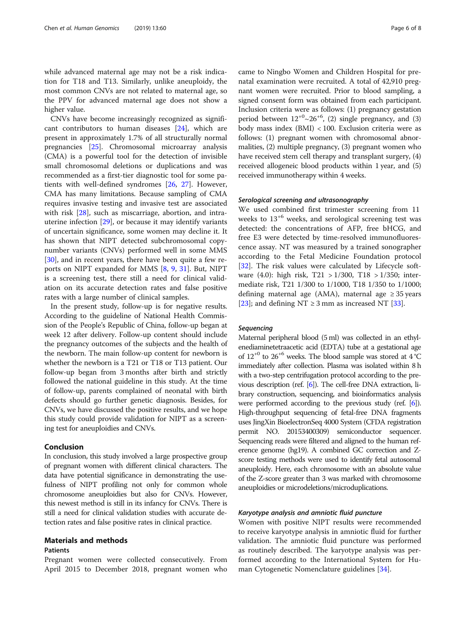while advanced maternal age may not be a risk indication for T18 and T13. Similarly, unlike aneuploidy, the most common CNVs are not related to maternal age, so the PPV for advanced maternal age does not show a higher value.

CNVs have become increasingly recognized as significant contributors to human diseases [[24](#page-6-0)], which are present in approximately 1.7% of all structurally normal pregnancies [[25](#page-6-0)]. Chromosomal microarray analysis (CMA) is a powerful tool for the detection of invisible small chromosomal deletions or duplications and was recommended as a first-tier diagnostic tool for some patients with well-defined syndromes [[26](#page-6-0), [27](#page-6-0)]. However, CMA has many limitations. Because sampling of CMA requires invasive testing and invasive test are associated with risk [[28\]](#page-6-0), such as miscarriage, abortion, and intrauterine infection [[29\]](#page-7-0), or because it may identify variants of uncertain significance, some women may decline it. It has shown that NIPT detected subchromosomal copynumber variants (CNVs) performed well in some MMS [[30\]](#page-7-0), and in recent years, there have been quite a few reports on NIPT expanded for MMS [\[8](#page-6-0), [9,](#page-6-0) [31](#page-7-0)]. But, NIPT is a screening test, there still a need for clinical validation on its accurate detection rates and false positive rates with a large number of clinical samples.

In the present study, follow-up is for negative results. According to the guideline of National Health Commission of the People's Republic of China, follow-up began at week 12 after delivery. Follow-up content should include the pregnancy outcomes of the subjects and the health of the newborn. The main follow-up content for newborn is whether the newborn is a T21 or T18 or T13 patient. Our follow-up began from 3 months after birth and strictly followed the national guideline in this study. At the time of follow-up, parents complained of neonatal with birth defects should go further genetic diagnosis. Besides, for CNVs, we have discussed the positive results, and we hope this study could provide validation for NIPT as a screening test for aneuploidies and CNVs.

# Conclusion

In conclusion, this study involved a large prospective group of pregnant women with different clinical characters. The data have potential significance in demonstrating the usefulness of NIPT profiling not only for common whole chromosome aneuploidies but also for CNVs. However, this newest method is still in its infancy for CNVs. There is still a need for clinical validation studies with accurate detection rates and false positive rates in clinical practice.

# Materials and methods

#### Patients

Pregnant women were collected consecutively. From April 2015 to December 2018, pregnant women who

came to Ningbo Women and Children Hospital for prenatal examination were recruited. A total of 42,910 pregnant women were recruited. Prior to blood sampling, a signed consent form was obtained from each participant. Inclusion criteria were as follows: (1) pregnancy gestation period between  $12^{+0} \sim 26^{+6}$ , (2) single pregnancy, and (3) body mass index (BMI) < 100. Exclusion criteria were as follows: (1) pregnant women with chromosomal abnormalities, (2) multiple pregnancy, (3) pregnant women who have received stem cell therapy and transplant surgery, (4) received allogeneic blood products within 1 year, and (5) received immunotherapy within 4 weeks.

# Serological screening and ultrasonography

We used combined first trimester screening from 11 weeks to  $13^{+6}$  weeks, and serological screening test was detected: the concentrations of AFP, free bHCG, and free E3 were detected by time-resolved immunofluorescence assay. NT was measured by a trained sonographer according to the Fetal Medicine Foundation protocol [[32\]](#page-7-0). The risk values were calculated by Lifecycle software (4.0): high risk, T21 > 1/300, T18 > 1/350; intermediate risk, T21 1/300 to 1/1000, T18 1/350 to 1/1000; defining maternal age (AMA), maternal age  $\geq$  35 years [[23\]](#page-6-0); and defining NT  $\geq$  3 mm as increased NT [[33\]](#page-7-0).

#### **Sequencing**

Maternal peripheral blood (5 ml) was collected in an ethylenediaminetetraacetic acid (EDTA) tube at a gestational age of  $12^{+0}$  to  $26^{+6}$  weeks. The blood sample was stored at  $4^{\circ}$ C immediately after collection. Plasma was isolated within 8 h with a two-step centrifugation protocol according to the previous description (ref. [\[6](#page-6-0)]). The cell-free DNA extraction, library construction, sequencing, and bioinformatics analysis were performed according to the previous study (ref. [\[6\]](#page-6-0)). High-throughput sequencing of fetal-free DNA fragments uses JingXin BioelectronSeq 4000 System (CFDA registration permit NO. 20153400309) semiconductor sequencer. Sequencing reads were filtered and aligned to the human reference genome (hg19). A combined GC correction and Zscore testing methods were used to identify fetal autosomal aneuploidy. Here, each chromosome with an absolute value of the Z-score greater than 3 was marked with chromosome aneuploidies or microdeletions/microduplications.

#### Karyotype analysis and amniotic fluid puncture

Women with positive NIPT results were recommended to receive karyotype analysis in amniotic fluid for further validation. The amniotic fluid puncture was performed as routinely described. The karyotype analysis was performed according to the International System for Human Cytogenetic Nomenclature guidelines [\[34](#page-7-0)].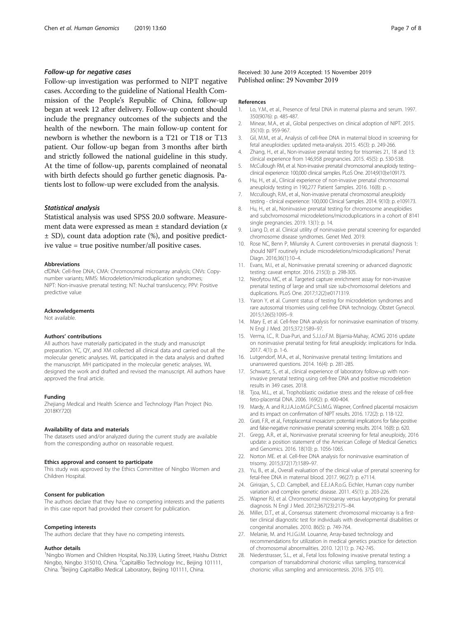# <span id="page-6-0"></span>Follow-up for negative cases

Follow-up investigation was performed to NIPT negative cases. According to the guideline of National Health Commission of the People's Republic of China, follow-up began at week 12 after delivery. Follow-up content should include the pregnancy outcomes of the subjects and the health of the newborn. The main follow-up content for newborn is whether the newborn is a T21 or T18 or T13 patient. Our follow-up began from 3 months after birth and strictly followed the national guideline in this study. At the time of follow-up, parents complained of neonatal with birth defects should go further genetic diagnosis. Patients lost to follow-up were excluded from the analysis.

# Statistical analysis

Statistical analysis was used SPSS 20.0 software. Measurement data were expressed as mean  $\pm$  standard deviation (x ± SD), count data adoption rate (%), and positive predictive value = true positive number/all positive cases.

#### Abbreviations

cfDNA: Cell-free DNA; CMA: Chromosomal microarray analysis; CNVs: Copynumber variants; MMS: Microdeletion/microduplication syndromes; NIPT: Non-invasive prenatal testing; NT: Nuchal translucency; PPV: Positive predictive value

#### Acknowledgements

Not available.

#### Authors' contributions

All authors have materially participated in the study and manuscript preparation. YC, QY, and XM collected all clinical data and carried out all the molecular genetic analyses. WL participated in the data analysis and drafted the manuscript. MH participated in the molecular genetic analyses. WL designed the work and drafted and revised the manuscript. All authors have approved the final article.

#### Funding

Zhejiang Medical and Health Science and Technology Plan Project (No. 2018KY720)

#### Availability of data and materials

The datasets used and/or analyzed during the current study are available from the corresponding author on reasonable request.

#### Ethics approval and consent to participate

This study was approved by the Ethics Committee of Ningbo Women and Children Hospital.

#### Consent for publication

The authors declare that they have no competing interests and the patients in this case report had provided their consent for publication.

#### Competing interests

The authors declare that they have no competing interests.

#### Author details

<sup>1</sup>Ningbo Women and Children Hospital, No.339, Liuting Street, Haishu District Ningbo, Ningbo 315010, China. <sup>2</sup>CapitalBio Technology Inc., Beijing 101111, China. <sup>3</sup>Beijing CapitalBio Medical Laboratory, Beijing 101111, China.

#### References

- 1. Lo, Y.M., et al., Presence of fetal DNA in maternal plasma and serum. 1997. 350(9076): p. 485-487.
- 2. Minear, M.A., et al., Global perspectives on clinical adoption of NIPT. 2015. 35(10): p. 959-967.
- 3. Gil, M.M., et al., Analysis of cell-free DNA in maternal blood in screening for fetal aneuploidies: updated meta-analysis. 2015. 45(3): p. 249-266.
- 4. Zhang, H., et al., Non-invasive prenatal testing for trisomies 21, 18 and 13: clinical experience from 146,958 pregnancies. 2015. 45(5): p. 530-538.
- 5. McCullough RM, et al. Non-invasive prenatal chromosomal aneuploidy testing- clinical experience: 100,000 clinical samples. PLoS One. 2014;9(10):e109173.
- 6. Hu, H., et al., Clinical experience of non-invasive prenatal chromosomal aneuploidy testing in 190,277 Patient Samples. 2016. 16(8): p. -.
- 7. Mccullough, R.M., et al., Non-invasive prenatal chromosomal aneuploidy testing - clinical experience: 100,000 Clinical Samples. 2014. 9(10): p. e109173.
- 8. Hu, H., et al., Noninvasive prenatal testing for chromosome aneuploidies and subchromosomal microdeletions/microduplications in a cohort of 8141 single pregnancies. 2019. 13(1): p. 14.
- 9. Liang D, et al. Clinical utility of noninvasive prenatal screening for expanded chromosome disease syndromes. Genet Med. 2019.
- 10. Rose NC, Benn P, Milunsky A. Current controversies in prenatal diagnosis 1: should NIPT routinely include microdeletions/microduplications? Prenat Diagn. 2016;36(1):10–4.
- 11. Evans, M.I., et al., Noninvasive prenatal screening or advanced diagnostic testing: caveat emptor. 2016. 215(3): p. 298-305.
- 12. Neofytou MC, et al. Targeted capture enrichment assay for non-invasive prenatal testing of large and small size sub-chromosomal deletions and duplications. PLoS One. 2017;12(2):e0171319.
- 13. Yaron Y, et al. Current status of testing for microdeletion syndromes and rare autosomal trisomies using cell-free DNA technology. Obstet Gynecol. 2015;126(5):1095–9.
- 14. Mary E, et al. Cell-free DNA analysis for noninvasive examination of trisomy. N Engl J Med. 2015;372:1589–97.
- 15. Verma, I.C., R. Dua-Puri, and S.J.J.o.F.M. Bijarnia-Mahay, ACMG 2016 update on noninvasive prenatal testing for fetal aneuploidy: implications for India. 2017. 4(1): p. 1-6.
- 16. Lutgendorf, M.A., et al., Noninvasive prenatal testing: limitations and unanswered questions. 2014. 16(4): p. 281-285.
- 17. Schwartz, S., et al., clinical experience of laboratory follow-up with noninvasive prenatal testing using cell-free DNA and positive microdeletion results in 349 cases. 2018.
- 18. Tjoa, M.L., et al., Trophoblastic oxidative stress and the release of cell-free feto-placental DNA. 2006. 169(2): p. 400-404.
- 19. Mardy, A. and R.J.J.A.J.o.M.G.P.C.S.i.M.G. Wapner, Confined placental mosaicism and its impact on confirmation of NIPT results. 2016. 172(2): p. 118-122.
- 20. Grati, F.R., et al., Fetoplacental mosaicism: potential implications for false-positive and false-negative noninvasive prenatal screening results. 2014. 16(8): p. 620.
- 21. Gregg, A.R., et al., Noninvasive prenatal screening for fetal aneuploidy, 2016 update: a position statement of the American College of Medical Genetics and Genomics. 2016. 18(10): p. 1056-1065.
- 22. Norton ME. et al. Cell-free DNA analysis for noninvasive examination of trisomy. 2015;372(17):1589–97.
- 23. Yu, B., et al., Overall evaluation of the clinical value of prenatal screening for fetal-free DNA in maternal blood. 2017. 96(27): p. e7114.
- 24. Girirajan, S., C.D. Campbell, and E.E.J.A.R.o.G. Eichler, Human copy number variation and complex genetic disease. 2011. 45(1): p. 203-226.
- 25. Wapner RJ, et al. Chromosomal microarray versus karyotyping for prenatal diagnosis. N Engl J Med. 2012;367(23):2175–84.
- 26. Miller, D.T., et al., Consensus statement: chromosomal microarray is a firsttier clinical diagnostic test for individuals with developmental disabilities or congenital anomalies. 2010. 86(5): p. 749-764.
- 27. Melanie, M. and H.J.G.i.M. Louanne, Array-based technology and recommendations for utilization in medical genetics practice for detection of chromosomal abnormalities. 2010. 12(11): p. 742-745.
- 28. Niederstrasser, S.L., et al., Fetal loss following invasive prenatal testing: a comparison of transabdominal chorionic villus sampling, transcervical chorionic villus sampling and amniocentesis. 2016. 37(S 01).